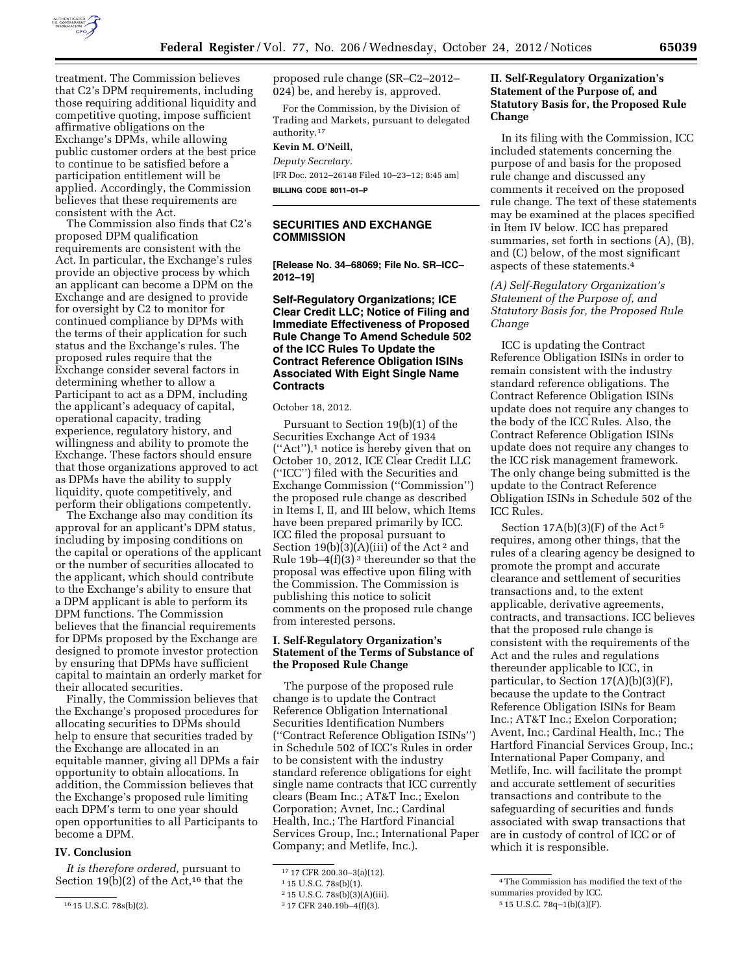

treatment. The Commission believes that C2's DPM requirements, including those requiring additional liquidity and competitive quoting, impose sufficient affirmative obligations on the Exchange's DPMs, while allowing public customer orders at the best price to continue to be satisfied before a participation entitlement will be applied. Accordingly, the Commission believes that these requirements are consistent with the Act.

The Commission also finds that C2's proposed DPM qualification requirements are consistent with the Act. In particular, the Exchange's rules provide an objective process by which an applicant can become a DPM on the Exchange and are designed to provide for oversight by C2 to monitor for continued compliance by DPMs with the terms of their application for such status and the Exchange's rules. The proposed rules require that the Exchange consider several factors in determining whether to allow a Participant to act as a DPM, including the applicant's adequacy of capital, operational capacity, trading experience, regulatory history, and willingness and ability to promote the Exchange. These factors should ensure that those organizations approved to act as DPMs have the ability to supply liquidity, quote competitively, and perform their obligations competently.

The Exchange also may condition its approval for an applicant's DPM status, including by imposing conditions on the capital or operations of the applicant or the number of securities allocated to the applicant, which should contribute to the Exchange's ability to ensure that a DPM applicant is able to perform its DPM functions. The Commission believes that the financial requirements for DPMs proposed by the Exchange are designed to promote investor protection by ensuring that DPMs have sufficient capital to maintain an orderly market for their allocated securities.

Finally, the Commission believes that the Exchange's proposed procedures for allocating securities to DPMs should help to ensure that securities traded by the Exchange are allocated in an equitable manner, giving all DPMs a fair opportunity to obtain allocations. In addition, the Commission believes that the Exchange's proposed rule limiting each DPM's term to one year should open opportunities to all Participants to become a DPM.

#### **IV. Conclusion**

*It is therefore ordered,* pursuant to Section 19 $(b)(2)$  of the Act,<sup>16</sup> that the proposed rule change (SR–C2–2012– 024) be, and hereby is, approved.

For the Commission, by the Division of Trading and Markets, pursuant to delegated authority.17

# **Kevin M. O'Neill,**

*Deputy Secretary.*  [FR Doc. 2012–26148 Filed 10–23–12; 8:45 am] **BILLING CODE 8011–01–P** 

# **SECURITIES AND EXCHANGE COMMISSION**

**[Release No. 34–68069; File No. SR–ICC– 2012–19]** 

# **Self-Regulatory Organizations; ICE Clear Credit LLC; Notice of Filing and Immediate Effectiveness of Proposed Rule Change To Amend Schedule 502 of the ICC Rules To Update the Contract Reference Obligation ISINs Associated With Eight Single Name Contracts**

October 18, 2012.

Pursuant to Section 19(b)(1) of the Securities Exchange Act of 1934 (''Act''),1 notice is hereby given that on October 10, 2012, ICE Clear Credit LLC (''ICC'') filed with the Securities and Exchange Commission (''Commission'') the proposed rule change as described in Items I, II, and III below, which Items have been prepared primarily by ICC. ICC filed the proposal pursuant to Section  $19(b)(3)(A)(iii)$  of the Act<sup>2</sup> and Rule  $19b-4(f)(3)^3$  thereunder so that the proposal was effective upon filing with the Commission. The Commission is publishing this notice to solicit comments on the proposed rule change from interested persons.

# **I. Self-Regulatory Organization's Statement of the Terms of Substance of the Proposed Rule Change**

The purpose of the proposed rule change is to update the Contract Reference Obligation International Securities Identification Numbers (''Contract Reference Obligation ISINs'') in Schedule 502 of ICC's Rules in order to be consistent with the industry standard reference obligations for eight single name contracts that ICC currently clears (Beam Inc.; AT&T Inc.; Exelon Corporation; Avnet, Inc.; Cardinal Health, Inc.; The Hartford Financial Services Group, Inc.; International Paper Company; and Metlife, Inc.).

# **II. Self-Regulatory Organization's Statement of the Purpose of, and Statutory Basis for, the Proposed Rule Change**

In its filing with the Commission, ICC included statements concerning the purpose of and basis for the proposed rule change and discussed any comments it received on the proposed rule change. The text of these statements may be examined at the places specified in Item IV below. ICC has prepared summaries, set forth in sections (A), (B), and (C) below, of the most significant aspects of these statements.4

*(A) Self-Regulatory Organization's Statement of the Purpose of, and Statutory Basis for, the Proposed Rule Change* 

ICC is updating the Contract Reference Obligation ISINs in order to remain consistent with the industry standard reference obligations. The Contract Reference Obligation ISINs update does not require any changes to the body of the ICC Rules. Also, the Contract Reference Obligation ISINs update does not require any changes to the ICC risk management framework. The only change being submitted is the update to the Contract Reference Obligation ISINs in Schedule 502 of the ICC Rules.

Section  $17A(b)(3)(F)$  of the Act<sup>5</sup> requires, among other things, that the rules of a clearing agency be designed to promote the prompt and accurate clearance and settlement of securities transactions and, to the extent applicable, derivative agreements, contracts, and transactions. ICC believes that the proposed rule change is consistent with the requirements of the Act and the rules and regulations thereunder applicable to ICC, in particular, to Section 17(A)(b)(3)(F), because the update to the Contract Reference Obligation ISINs for Beam Inc.; AT&T Inc.; Exelon Corporation; Avent, Inc.; Cardinal Health, Inc.; The Hartford Financial Services Group, Inc.; International Paper Company, and Metlife, Inc. will facilitate the prompt and accurate settlement of securities transactions and contribute to the safeguarding of securities and funds associated with swap transactions that are in custody of control of ICC or of which it is responsible.

<sup>16</sup> 15 U.S.C. 78s(b)(2).

<sup>17</sup> 17 CFR 200.30–3(a)(12).

<sup>1</sup> 15 U.S.C. 78s(b)(1).

<sup>2</sup> 15 U.S.C. 78s(b)(3)(A)(iii).

<sup>3</sup> 17 CFR 240.19b–4(f)(3).

<sup>4</sup>The Commission has modified the text of the summaries provided by ICC.

<sup>5</sup> 15 U.S.C. 78q–1(b)(3)(F).